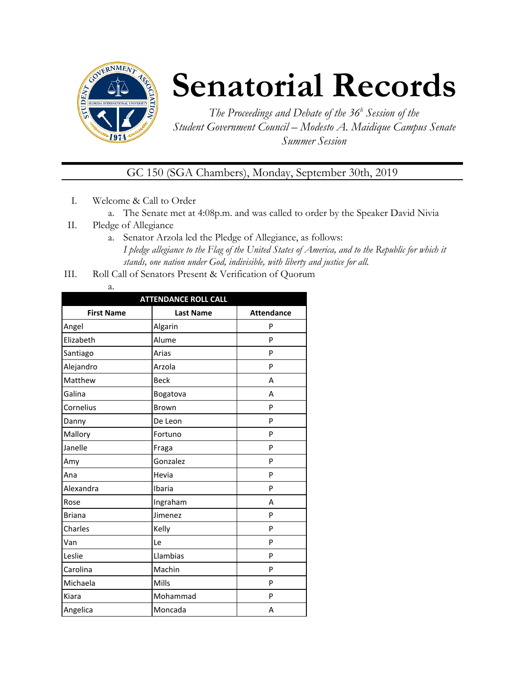

## **Senatorial Records**

*The Proceedings and Debate of the 36 <sup>h</sup> Session of the Student Government Council – Modesto A. Maidique Campus Senate Summer Session*

GC 150 (SGA Chambers), Monday, September 30th, 2019

- I. Welcome & Call to Order
	- a. The Senate met at 4:08p.m. and was called to order by the Speaker David Nivia
- II. Pledge of Allegiance
	- a. Senator Arzola led the Pledge of Allegiance, as follows: *I pledge allegiance to the Flag of the United States of America, and to the Republic for which it stands, one nation under God, indivisible, with liberty and justice for all.*
- III. Roll Call of Senators Present & Verification of Quorum
	- a.

| <b>ATTENDANCE ROLL CALL</b> |                  |                   |  |  |
|-----------------------------|------------------|-------------------|--|--|
| <b>First Name</b>           | <b>Last Name</b> | <b>Attendance</b> |  |  |
| Angel                       | Algarin          | P                 |  |  |
| Elizabeth                   | Alume            | P                 |  |  |
| Santiago                    | Arias            | P                 |  |  |
| Alejandro                   | Arzola           | P                 |  |  |
| Matthew                     | <b>Beck</b>      | A                 |  |  |
| Galina                      | Bogatova         | A                 |  |  |
| Cornelius                   | <b>Brown</b>     | P                 |  |  |
| Danny                       | De Leon          | P                 |  |  |
| Mallory                     | Fortuno          | P                 |  |  |
| Janelle                     | Fraga            | P                 |  |  |
| Amy                         | Gonzalez         | P                 |  |  |
| Ana                         | Hevia            | P                 |  |  |
| Alexandra                   | Ibaria           | P                 |  |  |
| Rose                        | Ingraham         | A                 |  |  |
| <b>Briana</b>               | Jimenez          | P                 |  |  |
| Charles                     | Kelly            | P                 |  |  |
| Van                         | Le               | P                 |  |  |
| Leslie                      | Llambias         | P                 |  |  |
| Carolina                    | Machin           | P                 |  |  |
| Michaela                    | Mills            | P                 |  |  |
| Kiara                       | Mohammad         | P                 |  |  |
| Angelica                    | Moncada          | Α                 |  |  |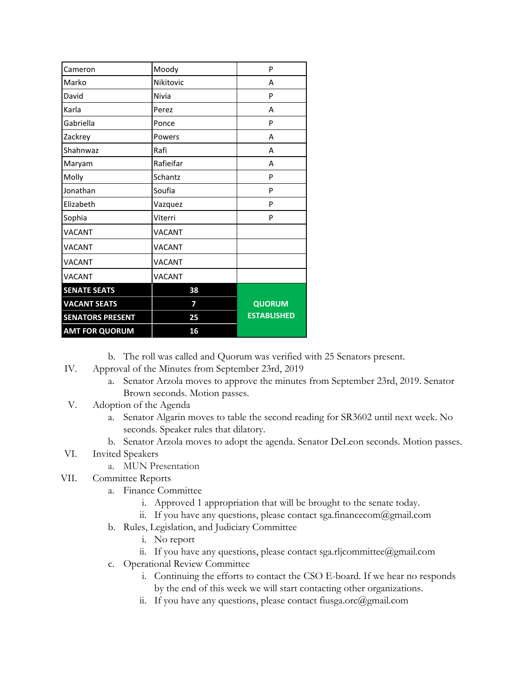| Cameron                 | Moody         | P                  |
|-------------------------|---------------|--------------------|
| Marko                   | Nikitovic     | A                  |
| David                   | Nivia         | P                  |
| Karla                   | Perez         | А                  |
| Gabriella               | Ponce         | P                  |
| Zackrey                 | Powers        | A                  |
| Shahnwaz                | Rafi          | A                  |
| Maryam                  | Rafieifar     | A                  |
| Molly                   | Schantz       | P                  |
| Jonathan                | Soufia        | P                  |
| Elizabeth               | Vazquez       | P                  |
| Sophia                  | Viterri       | P                  |
| <b>VACANT</b>           | VACANT        |                    |
| VACANT                  | VACANT        |                    |
| VACANT                  | VACANT        |                    |
| VACANT                  | <b>VACANT</b> |                    |
| <b>SENATE SEATS</b>     | 38            |                    |
| <b>VACANT SEATS</b>     | 7             | <b>QUORUM</b>      |
| <b>SENATORS PRESENT</b> | 25            | <b>ESTABLISHED</b> |
| <b>AMT FOR QUORUM</b>   | 16            |                    |

b. The roll was called and Quorum was verified with 25 Senators present.

- IV. Approval of the Minutes from September 23rd, 2019
	- a. Senator Arzola moves to approve the minutes from September 23rd, 2019. Senator Brown seconds. Motion passes.
- V. Adoption of the Agenda
	- a. Senator Algarin moves to table the second reading for SR3602 until next week. No seconds. Speaker rules that dilatory.
	- b. Senator Arzola moves to adopt the agenda. Senator DeLeon seconds. Motion passes.
- VI. Invited Speakers
	- a. MUN Presentation
- VII. Committee Reports
	- a. Finance Committee
		- i. Approved 1 appropriation that will be brought to the senate today.
		- ii. If you have any questions, please contact sga.financecom@gmail.com
	- b. Rules, Legislation, and Judiciary Committee
		- i. No report
		- ii. If you have any questions, please contact sga.rljcommittee@gmail.com
	- c. Operational Review Committee
		- i. Continuing the efforts to contact the CSO E-board. If we hear no responds by the end of this week we will start contacting other organizations.
		- ii. If you have any questions, please contact fiusga.orc@gmail.com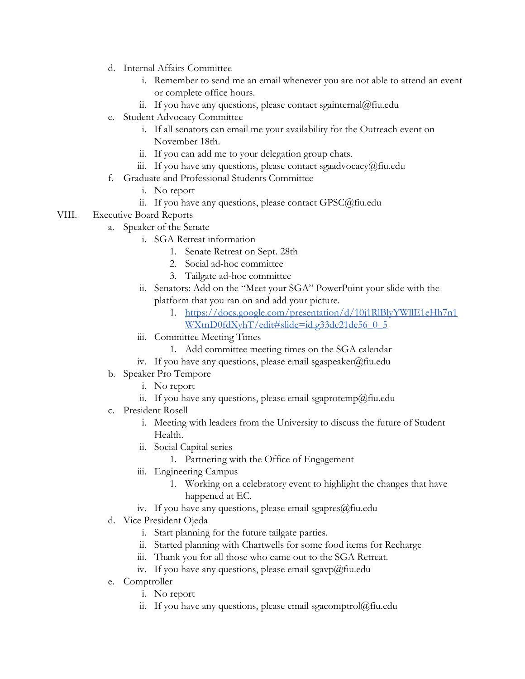- d. Internal Affairs Committee
	- i. Remember to send me an email whenever you are not able to attend an event or complete office hours.
	- ii. If you have any questions, please contact sgainternal@fiu.edu
- e. Student Advocacy Committee
	- i. If all senators can email me your availability for the Outreach event on November 18th.
	- ii. If you can add me to your delegation group chats.
	- iii. If you have any questions, please contact sgaadvocacy@fiu.edu
- f. Graduate and Professional Students Committee
	- i. No report
	- ii. If you have any questions, please contact GPSC@fiu.edu
- VIII. Executive Board Reports
	- a. Speaker of the Senate
		- i. SGA Retreat information
			- 1. Senate Retreat on Sept. 28th
			- 2. Social ad-hoc committee
			- 3. Tailgate ad-hoc committee
		- ii. Senators: Add on the "Meet your SGA" PowerPoint your slide with the platform that you ran on and add your picture.
			- 1. [https://docs.google.com/presentation/d/10j1RlBlyYWllE1eHh7n1](https://docs.google.com/presentation/d/10j1RlBlyYWllE1eHh7n1WXtnD0fdXyhT/edit#slide=id.g33dc21de56_0_5) [WXtnD0fdXyhT/edit#slide=id.g33dc21de56\\_0\\_5](https://docs.google.com/presentation/d/10j1RlBlyYWllE1eHh7n1WXtnD0fdXyhT/edit#slide=id.g33dc21de56_0_5)
		- iii. Committee Meeting Times
			- 1. Add committee meeting times on the SGA calendar
		- iv. If you have any questions, please email sgaspeaker@fiu.edu
	- b. Speaker Pro Tempore
		- i. No report
		- ii. If you have any questions, please email sgaprotemp@fiu.edu
	- c. President Rosell
		- i. Meeting with leaders from the University to discuss the future of Student Health.
		- ii. Social Capital series
			- 1. Partnering with the Office of Engagement
		- iii. Engineering Campus
			- 1. Working on a celebratory event to highlight the changes that have happened at EC.
		- iv. If you have any questions, please email sgapres@fiu.edu
	- d. Vice President Ojeda
		- i. Start planning for the future tailgate parties.
		- ii. Started planning with Chartwells for some food items for Recharge
		- iii. Thank you for all those who came out to the SGA Retreat.
		- iv. If you have any questions, please email sgavp $@$ fiu.edu
	- e. Comptroller
		- i. No report
		- ii. If you have any questions, please email sgacomptrol $@$ fiu.edu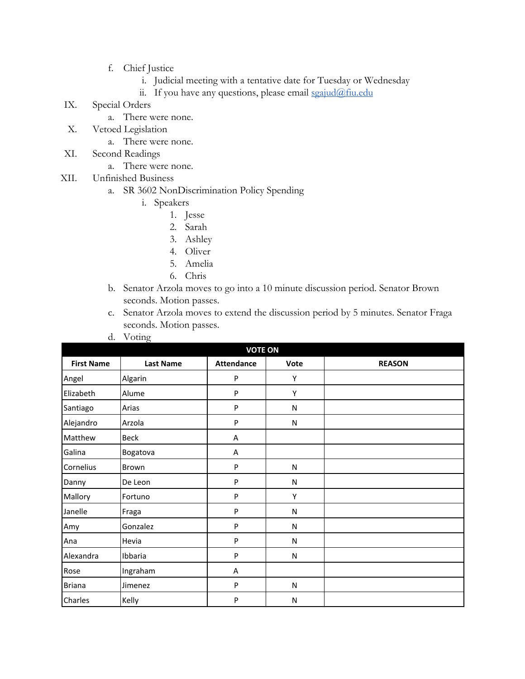- f. Chief Justice
	- i. Judicial meeting with a tentative date for Tuesday or Wednesday
	- ii. If you have any questions, please email [sgajud@fiu.edu](mailto:sgajud@fiu.edu)
- IX. Special Orders
	- a. There were none.
- X. Vetoed Legislation
	- a. There were none.
- XI. Second Readings
	- a. There were none.
- XII. Unfinished Business
	- a. SR 3602 NonDiscrimination Policy Spending
		- i. Speakers
			- 1. Jesse
			- 2. Sarah
			- 3. Ashley
			- 4. Oliver
			- 5. Amelia
			- 6. Chris
	- b. Senator Arzola moves to go into a 10 minute discussion period. Senator Brown seconds. Motion passes.
	- c. Senator Arzola moves to extend the discussion period by 5 minutes. Senator Fraga seconds. Motion passes.
	- d. Voting

| <b>VOTE ON</b>    |                  |                   |           |               |
|-------------------|------------------|-------------------|-----------|---------------|
| <b>First Name</b> | <b>Last Name</b> | <b>Attendance</b> | Vote      | <b>REASON</b> |
| Angel             | Algarin          | P                 | Y         |               |
| Elizabeth         | Alume            | P                 | Υ         |               |
| Santiago          | Arias            | P                 | ${\sf N}$ |               |
| Alejandro         | Arzola           | P                 | N         |               |
| Matthew           | <b>Beck</b>      | A                 |           |               |
| Galina            | Bogatova         | Α                 |           |               |
| Cornelius         | Brown            | P                 | ${\sf N}$ |               |
| Danny             | De Leon          | P                 | N         |               |
| Mallory           | Fortuno          | P                 | Y         |               |
| Janelle           | Fraga            | P                 | N         |               |
| Amy               | Gonzalez         | P                 | ${\sf N}$ |               |
| Ana               | Hevia            | P                 | N         |               |
| Alexandra         | Ibbaria          | P                 | N         |               |
| Rose              | Ingraham         | Α                 |           |               |
| <b>Briana</b>     | Jimenez          | P                 | N         |               |
| Charles           | Kelly            | P                 | N         |               |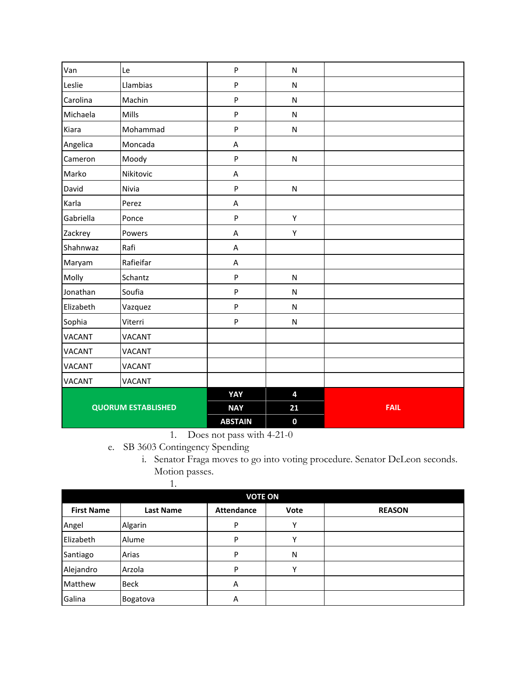| Van           | Le                        | $\mathsf{P}$   | N                       |             |
|---------------|---------------------------|----------------|-------------------------|-------------|
| Leslie        | Llambias                  | $\sf P$        | ${\sf N}$               |             |
| Carolina      | Machin                    | $\sf P$        | ${\sf N}$               |             |
| Michaela      | Mills                     | $\sf P$        | ${\sf N}$               |             |
| Kiara         | Mohammad                  | $\sf P$        | ${\sf N}$               |             |
| Angelica      | Moncada                   | A              |                         |             |
| Cameron       | Moody                     | $\sf P$        | ${\sf N}$               |             |
| Marko         | Nikitovic                 | A              |                         |             |
| David         | Nivia                     | $\sf P$        | ${\sf N}$               |             |
| Karla         | Perez                     | A              |                         |             |
| Gabriella     | Ponce                     | $\sf P$        | Υ                       |             |
| Zackrey       | Powers                    | A              | Υ                       |             |
| Shahnwaz      | Rafi                      | A              |                         |             |
| Maryam        | Rafieifar                 | A              |                         |             |
| Molly         | Schantz                   | ${\sf P}$      | N                       |             |
| Jonathan      | Soufia                    | $\sf P$        | ${\sf N}$               |             |
| Elizabeth     | Vazquez                   | $\sf P$        | ${\sf N}$               |             |
| Sophia        | Viterri                   | ${\sf P}$      | ${\sf N}$               |             |
| <b>VACANT</b> | <b>VACANT</b>             |                |                         |             |
| <b>VACANT</b> | <b>VACANT</b>             |                |                         |             |
| <b>VACANT</b> | <b>VACANT</b>             |                |                         |             |
| <b>VACANT</b> | <b>VACANT</b>             |                |                         |             |
|               |                           | YAY            | $\overline{\mathbf{4}}$ |             |
|               | <b>QUORUM ESTABLISHED</b> | <b>NAY</b>     | 21                      | <b>FAIL</b> |
|               |                           | <b>ABSTAIN</b> | $\mathbf 0$             |             |

1. Does not pass with 4-21-0

e. SB 3603 Contingency Spending

i. Senator Fraga moves to go into voting procedure. Senator DeLeon seconds. Motion passes.

|                   | ī.          |                   |      |               |
|-------------------|-------------|-------------------|------|---------------|
|                   |             | <b>VOTE ON</b>    |      |               |
| <b>First Name</b> | Last Name   | <b>Attendance</b> | Vote | <b>REASON</b> |
| Angel             | Algarin     | P                 | v    |               |
| Elizabeth         | Alume       | P                 |      |               |
| Santiago          | Arias       | P                 | N    |               |
| Alejandro         | Arzola      | P                 | v    |               |
| Matthew           | <b>Beck</b> | Α                 |      |               |
| Galina            | Bogatova    | A                 |      |               |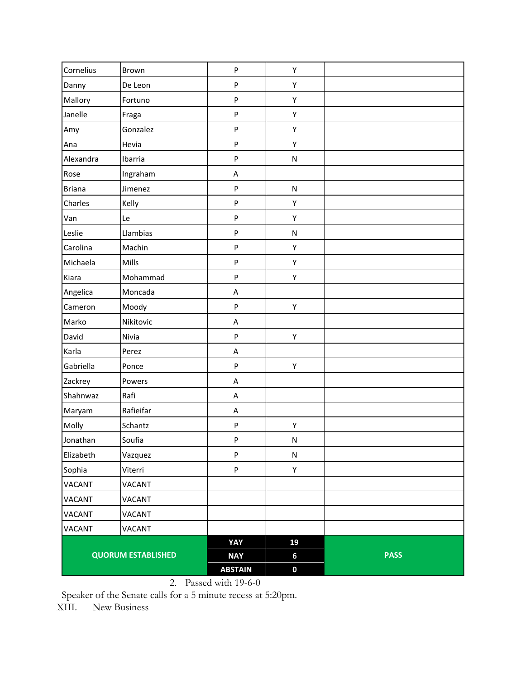| Cornelius                 | Brown     | ${\sf P}$      | Υ                |             |
|---------------------------|-----------|----------------|------------------|-------------|
| Danny                     | De Leon   | ${\sf P}$      | Υ                |             |
| Mallory                   | Fortuno   | ${\sf P}$      | Υ                |             |
| Janelle                   | Fraga     | ${\sf P}$      | Υ                |             |
| Amy                       | Gonzalez  | ${\sf P}$      | Υ                |             |
| Ana                       | Hevia     | ${\sf P}$      | Υ                |             |
| Alexandra                 | Ibarria   | ${\sf P}$      | ${\sf N}$        |             |
| Rose                      | Ingraham  | A              |                  |             |
| <b>Briana</b>             | Jimenez   | ${\sf P}$      | ${\sf N}$        |             |
| Charles                   | Kelly     | ${\sf P}$      | Υ                |             |
| Van                       | Le        | ${\sf P}$      | Υ                |             |
| Leslie                    | Llambias  | ${\sf P}$      | ${\sf N}$        |             |
| Carolina                  | Machin    | ${\sf P}$      | Υ                |             |
| Michaela                  | Mills     | ${\sf P}$      | Υ                |             |
| Kiara                     | Mohammad  | ${\sf P}$      | Υ                |             |
| Angelica                  | Moncada   | A              |                  |             |
| Cameron                   | Moody     | ${\sf P}$      | Υ                |             |
| Marko                     | Nikitovic | Α              |                  |             |
| David                     | Nivia     | ${\sf P}$      | Υ                |             |
| Karla                     | Perez     | A              |                  |             |
| Gabriella                 | Ponce     | ${\sf P}$      | Υ                |             |
| Zackrey                   | Powers    | A              |                  |             |
| Shahnwaz                  | Rafi      | A              |                  |             |
| Maryam                    | Rafieifar | A              |                  |             |
| Molly                     | Schantz   | ${\sf P}$      | Υ                |             |
| Jonathan                  | Soufia    | ${\sf P}$      | ${\sf N}$        |             |
| Elizabeth                 | Vazquez   | ${\sf P}$      | ${\sf N}$        |             |
| Sophia                    | Viterri   | ${\sf P}$      | Υ                |             |
| VACANT                    | VACANT    |                |                  |             |
| <b>VACANT</b>             | VACANT    |                |                  |             |
| VACANT                    | VACANT    |                |                  |             |
| VACANT                    | VACANT    |                |                  |             |
| <b>QUORUM ESTABLISHED</b> |           | YAY            | 19               |             |
|                           |           | <b>NAY</b>     | 6                | <b>PASS</b> |
|                           |           | <b>ABSTAIN</b> | $\boldsymbol{0}$ |             |

2. Passed with 19-6-0

Speaker of the Senate calls for a 5 minute recess at 5:20pm.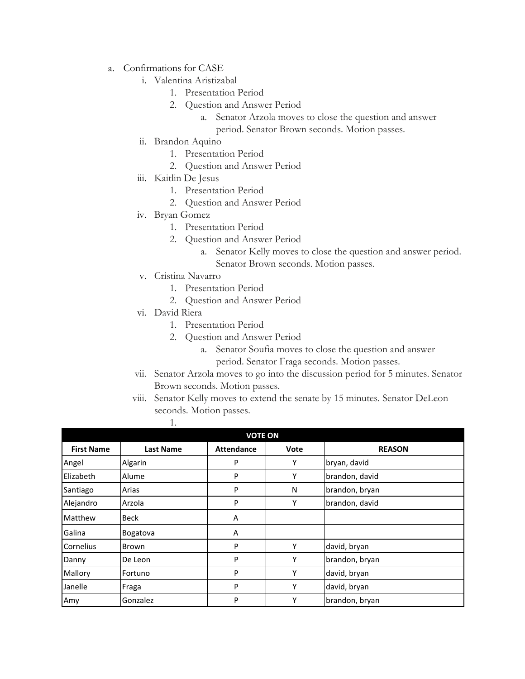- a. Confirmations for CASE
	- i. Valentina Aristizabal
		- 1. Presentation Period
		- 2. Question and Answer Period
			- a. Senator Arzola moves to close the question and answer period. Senator Brown seconds. Motion passes.
	- ii. Brandon Aquino
		- 1. Presentation Period
		- 2. Question and Answer Period
	- iii. Kaitlin De Jesus
		- 1. Presentation Period
		- 2. Question and Answer Period
	- iv. Bryan Gomez
		- 1. Presentation Period
		- 2. Question and Answer Period
			- a. Senator Kelly moves to close the question and answer period. Senator Brown seconds. Motion passes.
	- v. Cristina Navarro
		- 1. Presentation Period
		- 2. Question and Answer Period
	- vi. David Riera

1.

- 1. Presentation Period
- 2. Question and Answer Period
	- a. Senator Soufia moves to close the question and answer period. Senator Fraga seconds. Motion passes.
- vii. Senator Arzola moves to go into the discussion period for 5 minutes. Senator Brown seconds. Motion passes.
- viii. Senator Kelly moves to extend the senate by 15 minutes. Senator DeLeon seconds. Motion passes.

| <b>VOTE ON</b>    |                  |                   |      |                |  |
|-------------------|------------------|-------------------|------|----------------|--|
| <b>First Name</b> | <b>Last Name</b> | <b>Attendance</b> | Vote | <b>REASON</b>  |  |
| Angel             | Algarin          | P                 | Υ    | bryan, david   |  |
| Elizabeth         | Alume            | P                 | Υ    | brandon, david |  |
| Santiago          | Arias            | P                 | N    | brandon, bryan |  |
| Alejandro         | Arzola           | P                 | Υ    | brandon, david |  |
| Matthew           | <b>Beck</b>      | A                 |      |                |  |
| Galina            | Bogatova         | A                 |      |                |  |
| Cornelius         | Brown            | P                 | Υ    | david, bryan   |  |
| Danny             | De Leon          | P                 | Υ    | brandon, bryan |  |
| Mallory           | Fortuno          | P                 | Υ    | david, bryan   |  |
| Janelle           | Fraga            | P                 | Υ    | david, bryan   |  |
| Amy               | Gonzalez         | P                 | Υ    | brandon, bryan |  |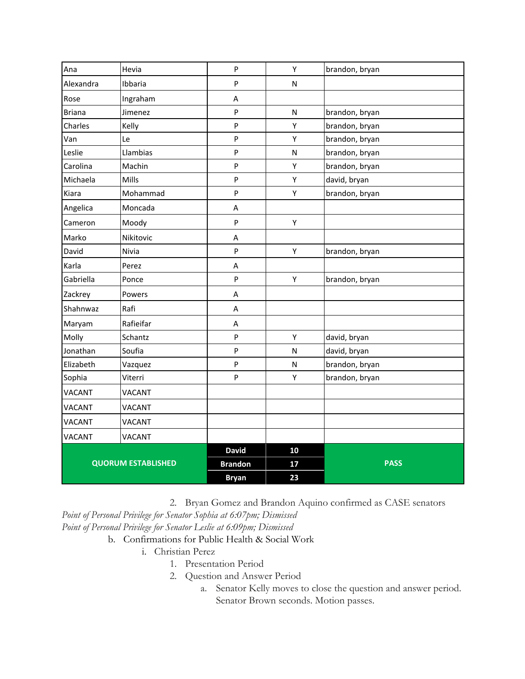| Ana                       | Hevia         | ${\sf P}$                 | Y  | brandon, bryan |
|---------------------------|---------------|---------------------------|----|----------------|
| Alexandra                 | Ibbaria       | P                         | N  |                |
| Rose                      | Ingraham      | A                         |    |                |
| <b>Briana</b>             | Jimenez       | P                         | N  | brandon, bryan |
| Charles                   | Kelly         | P                         | Υ  | brandon, bryan |
| Van                       | Le            | P                         | Υ  | brandon, bryan |
| Leslie                    | Llambias      | P                         | N  | brandon, bryan |
| Carolina                  | Machin        | P                         | Υ  | brandon, bryan |
| Michaela                  | Mills         | P                         | Υ  | david, bryan   |
| Kiara                     | Mohammad      | P                         | Υ  | brandon, bryan |
| Angelica                  | Moncada       | $\sf A$                   |    |                |
| Cameron                   | Moody         | $\mathsf{P}$              | Υ  |                |
| Marko                     | Nikitovic     | A                         |    |                |
| David                     | Nivia         | P                         | Υ  | brandon, bryan |
| Karla                     | Perez         | A                         |    |                |
| Gabriella                 | Ponce         | P                         | Υ  | brandon, bryan |
| Zackrey                   | Powers        | Α                         |    |                |
| Shahnwaz                  | Rafi          | $\boldsymbol{\mathsf{A}}$ |    |                |
| Maryam                    | Rafieifar     | Α                         |    |                |
| Molly                     | Schantz       | P                         | Υ  | david, bryan   |
| Jonathan                  | Soufia        | P                         | N  | david, bryan   |
| Elizabeth                 | Vazquez       | ${\sf P}$                 | N  | brandon, bryan |
| Sophia                    | Viterri       | P                         | Υ  | brandon, bryan |
| <b>VACANT</b>             | <b>VACANT</b> |                           |    |                |
| <b>VACANT</b>             | <b>VACANT</b> |                           |    |                |
| <b>VACANT</b>             | <b>VACANT</b> |                           |    |                |
| <b>VACANT</b>             | <b>VACANT</b> |                           |    |                |
|                           |               | <b>David</b>              | 10 |                |
| <b>QUORUM ESTABLISHED</b> |               | <b>Brandon</b>            | 17 | <b>PASS</b>    |
|                           |               | <b>Bryan</b>              | 23 |                |

2. Bryan Gomez and Brandon Aquino confirmed as CASE senators

*Point of Personal Privilege for Senator Sophia at 6:07pm; Dismissed Point of Personal Privilege for Senator Leslie at 6:09pm; Dismissed*

- b. Confirmations for Public Health & Social Work
	- i. Christian Perez
		- 1. Presentation Period
			- 2. Question and Answer Period
				- a. Senator Kelly moves to close the question and answer period. Senator Brown seconds. Motion passes.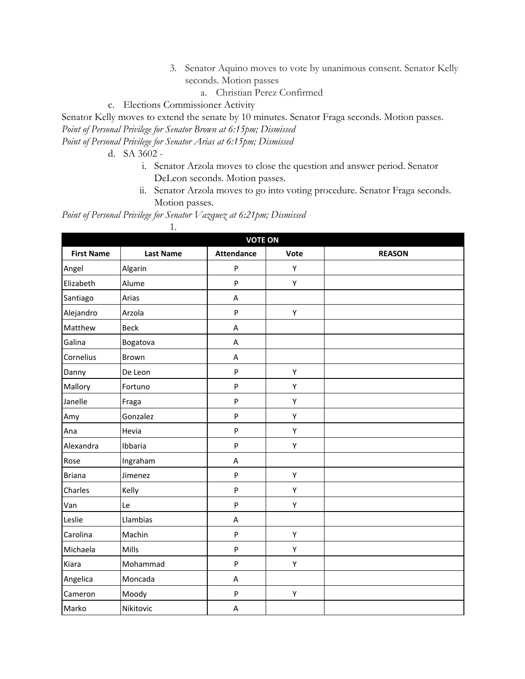- 3. Senator Aquino moves to vote by unanimous consent. Senator Kelly seconds. Motion passes
	- a. Christian Perez Confirmed
- c. Elections Commissioner Activity

Senator Kelly moves to extend the senate by 10 minutes. Senator Fraga seconds. Motion passes. *Point of Personal Privilege for Senator Brown at 6:15pm; Dismissed*

*Point of Personal Privilege for Senator Arias at 6:15pm; Dismissed*

d. SA 3602 -

- i. Senator Arzola moves to close the question and answer period. Senator DeLeon seconds. Motion passes.
- ii. Senator Arzola moves to go into voting procedure. Senator Fraga seconds. Motion passes.

*Point of Personal Privilege for Senator Vazquez at 6:21pm; Dismissed*

1.

|                   | <b>VOTE ON</b>   |                   |      |               |  |  |
|-------------------|------------------|-------------------|------|---------------|--|--|
| <b>First Name</b> | <b>Last Name</b> | <b>Attendance</b> | Vote | <b>REASON</b> |  |  |
| Angel             | Algarin          | P                 | Υ    |               |  |  |
| Elizabeth         | Alume            | P                 | Υ    |               |  |  |
| Santiago          | Arias            | A                 |      |               |  |  |
| Alejandro         | Arzola           | ${\sf P}$         | Υ    |               |  |  |
| Matthew           | <b>Beck</b>      | A                 |      |               |  |  |
| Galina            | Bogatova         | A                 |      |               |  |  |
| Cornelius         | Brown            | A                 |      |               |  |  |
| Danny             | De Leon          | ${\sf P}$         | Υ    |               |  |  |
| Mallory           | Fortuno          | ${\sf P}$         | Υ    |               |  |  |
| Janelle           | Fraga            | ${\sf P}$         | Υ    |               |  |  |
| Amy               | Gonzalez         | ${\sf P}$         | Υ    |               |  |  |
| Ana               | Hevia            | $\sf P$           | Υ    |               |  |  |
| Alexandra         | Ibbaria          | P                 | Υ    |               |  |  |
| Rose              | Ingraham         | Α                 |      |               |  |  |
| <b>Briana</b>     | Jimenez          | ${\sf P}$         | Υ    |               |  |  |
| Charles           | Kelly            | $\sf P$           | Υ    |               |  |  |
| Van               | Le               | ${\sf P}$         | Υ    |               |  |  |
| Leslie            | Llambias         | A                 |      |               |  |  |
| Carolina          | Machin           | ${\sf P}$         | Υ    |               |  |  |
| Michaela          | Mills            | ${\sf P}$         | Υ    |               |  |  |
| Kiara             | Mohammad         | P                 | Υ    |               |  |  |
| Angelica          | Moncada          | A                 |      |               |  |  |
| Cameron           | Moody            | ${\sf P}$         | Υ    |               |  |  |
| Marko             | Nikitovic        | A                 |      |               |  |  |